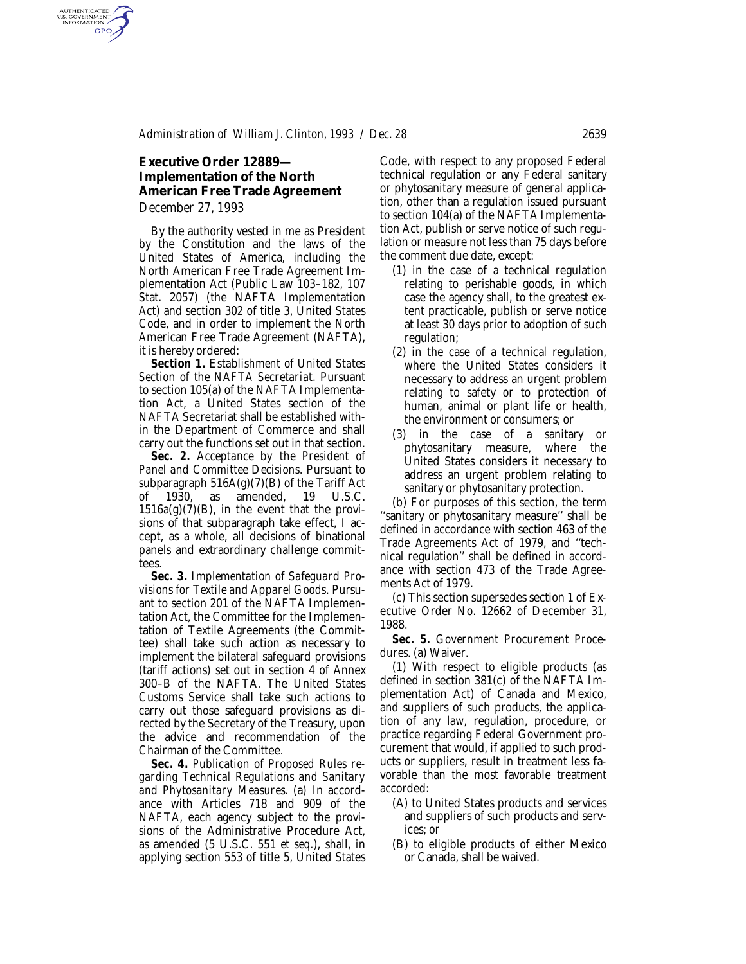# **Executive Order 12889— Implementation of the North American Free Trade Agreement**

*December 27, 1993*

AUTHENTICATED<br>U.S. GOVERNMENT<br>INFORMATION **GPO** 

> By the authority vested in me as President by the Constitution and the laws of the United States of America, including the North American Free Trade Agreement Implementation Act (Public Law 103–182, 107 Stat. 2057) (the NAFTA Implementation Act) and section 302 of title 3, United States Code, and in order to implement the North American Free Trade Agreement (NAFTA), it is hereby ordered:

> *Section 1. Establishment of United States Section of the NAFTA Secretariat.* Pursuant to section 105(a) of the NAFTA Implementation Act, a United States section of the NAFTA Secretariat shall be established within the Department of Commerce and shall carry out the functions set out in that section.

> *Sec. 2. Acceptance by the President of Panel and Committee Decisions.* Pursuant to subparagraph  $516A(g)(7)(B)$  of the Tariff Act of 1930, as amended, 19 U.S.C.  $1516a(g)(7)(B)$ , in the event that the provisions of that subparagraph take effect, I accept, as a whole, all decisions of binational panels and extraordinary challenge committees.

> *Sec. 3. Implementation of Safeguard Provisions for Textile and Apparel Goods.* Pursuant to section 201 of the NAFTA Implementation Act, the Committee for the Implementation of Textile Agreements (the Committee) shall take such action as necessary to implement the bilateral safeguard provisions (tariff actions) set out in section 4 of Annex 300–B of the NAFTA. The United States Customs Service shall take such actions to carry out those safeguard provisions as directed by the Secretary of the Treasury, upon the advice and recommendation of the Chairman of the Committee.

> *Sec. 4. Publication of Proposed Rules regarding Technical Regulations and Sanitary and Phytosanitary Measures.* (a) In accordance with Articles 718 and 909 of the NAFTA, each agency subject to the provisions of the Administrative Procedure Act, as amended (5 U.S.C. 551 *et seq.*), shall, in applying section 553 of title 5, United States

Code, with respect to any proposed Federal technical regulation or any Federal sanitary or phytosanitary measure of general application, other than a regulation issued pursuant to section 104(a) of the NAFTA Implementation Act, publish or serve notice of such regulation or measure not less than 75 days before the comment due date, except:

- (1) in the case of a technical regulation relating to perishable goods, in which case the agency shall, to the greatest extent practicable, publish or serve notice at least 30 days prior to adoption of such regulation;
- (2) in the case of a technical regulation, where the United States considers it necessary to address an urgent problem relating to safety or to protection of human, animal or plant life or health, the environment or consumers; or
- (3) in the case of a sanitary or phytosanitary measure, where the United States considers it necessary to address an urgent problem relating to sanitary or phytosanitary protection.

(b) For purposes of this section, the term ''sanitary or phytosanitary measure'' shall be defined in accordance with section 463 of the Trade Agreements Act of 1979, and ''technical regulation'' shall be defined in accordance with section 473 of the Trade Agreements Act of 1979.

(c) This section supersedes section 1 of Executive Order No. 12662 of December 31, 1988.

*Sec. 5. Government Procurement Procedures.* (a) Waiver.

(1) With respect to eligible products (as defined in section 381(c) of the NAFTA Implementation Act) of Canada and Mexico, and suppliers of such products, the application of any law, regulation, procedure, or practice regarding Federal Government procurement that would, if applied to such products or suppliers, result in treatment less favorable than the most favorable treatment accorded:

- (A) to United States products and services and suppliers of such products and services; or
- (B) to eligible products of either Mexico or Canada, shall be waived.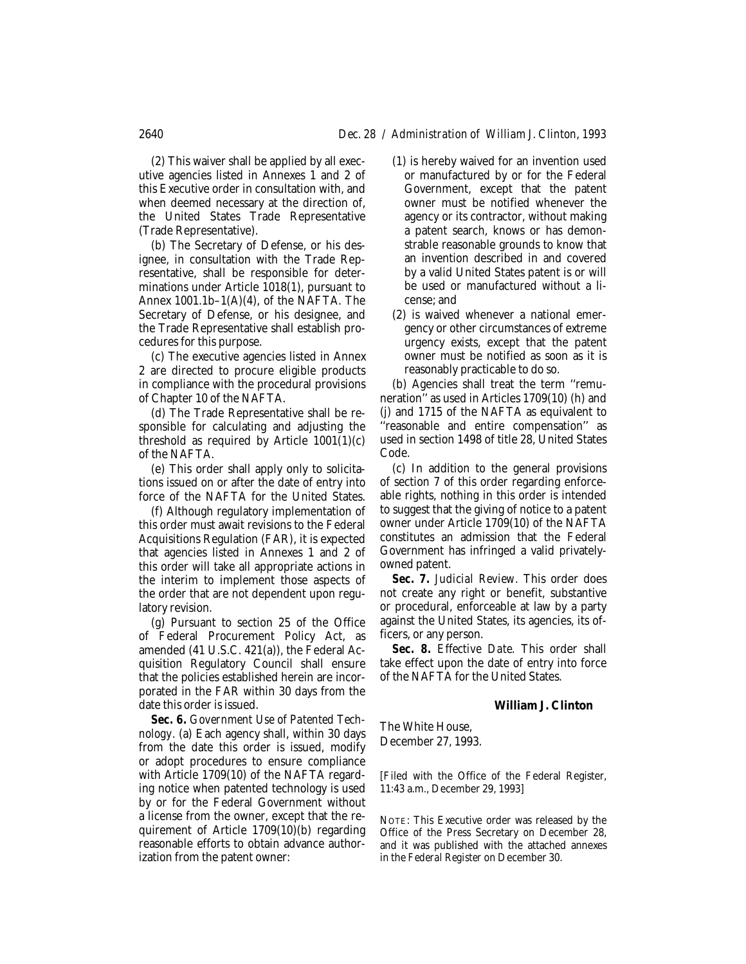(2) This waiver shall be applied by all executive agencies listed in Annexes 1 and 2 of this Executive order in consultation with, and when deemed necessary at the direction of, the United States Trade Representative (Trade Representative).

(b) The Secretary of Defense, or his designee, in consultation with the Trade Representative, shall be responsible for determinations under Article 1018(1), pursuant to Annex  $1001.1b-1(A)(4)$ , of the NAFTA. The Secretary of Defense, or his designee, and the Trade Representative shall establish procedures for this purpose.

(c) The executive agencies listed in Annex 2 are directed to procure eligible products in compliance with the procedural provisions of Chapter 10 of the NAFTA.

(d) The Trade Representative shall be responsible for calculating and adjusting the threshold as required by Article  $1001(1)(c)$ of the NAFTA.

(e) This order shall apply only to solicitations issued on or after the date of entry into force of the NAFTA for the United States.

(f) Although regulatory implementation of this order must await revisions to the Federal Acquisitions Regulation (FAR), it is expected that agencies listed in Annexes 1 and 2 of this order will take all appropriate actions in the interim to implement those aspects of the order that are not dependent upon regulatory revision.

(g) Pursuant to section 25 of the Office of Federal Procurement Policy Act, as amended (41 U.S.C. 421(a)), the Federal Acquisition Regulatory Council shall ensure that the policies established herein are incorporated in the FAR within 30 days from the date this order is issued.

*Sec. 6. Government Use of Patented Technology.* (a) Each agency shall, within 30 days from the date this order is issued, modify or adopt procedures to ensure compliance with Article 1709(10) of the NAFTA regarding notice when patented technology is used by or for the Federal Government without a license from the owner, except that the requirement of Article 1709(10)(b) regarding reasonable efforts to obtain advance authorization from the patent owner:

- (1) is hereby waived for an invention used or manufactured by or for the Federal Government, except that the patent owner must be notified whenever the agency or its contractor, without making a patent search, knows or has demonstrable reasonable grounds to know that an invention described in and covered by a valid United States patent is or will be used or manufactured without a license; and
- (2) is waived whenever a national emergency or other circumstances of extreme urgency exists, except that the patent owner must be notified as soon as it is reasonably practicable to do so.

(b) Agencies shall treat the term ''remuneration'' as used in Articles 1709(10) (h) and (j) and 1715 of the NAFTA as equivalent to ''reasonable and entire compensation'' as used in section 1498 of title 28, United States Code.

(c) In addition to the general provisions of section 7 of this order regarding enforceable rights, nothing in this order is intended to suggest that the giving of notice to a patent owner under Article 1709(10) of the NAFTA constitutes an admission that the Federal Government has infringed a valid privatelyowned patent.

*Sec. 7. Judicial Review.* This order does not create any right or benefit, substantive or procedural, enforceable at law by a party against the United States, its agencies, its officers, or any person.

*Sec. 8. Effective Date.* This order shall take effect upon the date of entry into force of the NAFTA for the United States.

#### **William J. Clinton**

The White House, December 27, 1993.

[Filed with the Office of the Federal Register, 11:43 a.m., December 29, 1993]

NOTE: This Executive order was released by the Office of the Press Secretary on December 28, and it was published with the attached annexes in the *Federal Register* on December 30.